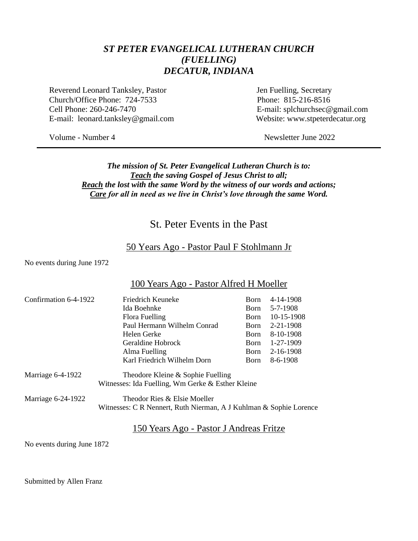# *ST PETER EVANGELICAL LUTHERAN CHURCH (FUELLING) DECATUR, INDIANA*

Reverend Leonard Tanksley, Pastor Jen Fuelling, Secretary Church/Office Phone: 724-7533 Phone: 815-216-8516 Cell Phone: 260-246-7470 E-mail: splchurchsec@gmail.com E-mail: leonard.tanksley@gmail.com Website: www.stpeterdecatur.org

Volume - Number 4 Newsletter June 2022

### *The mission of St. Peter Evangelical Lutheran Church is to: Teach the saving Gospel of Jesus Christ to all; Reach the lost with the same Word by the witness of our words and actions; Care for all in need as we live in Christ's love through the same Word.*

# St. Peter Events in the Past

### 50 Years Ago - Pastor Paul F Stohlmann Jr

No events during June 1972

### 100 Years Ago - Pastor Alfred H Moeller

| Confirmation 6-4-1922 | Friedrich Keuneke                                                                                  | <b>B</b> orn | 4-14-1908       |
|-----------------------|----------------------------------------------------------------------------------------------------|--------------|-----------------|
|                       | Ida Boehnke                                                                                        | <b>Born</b>  | 5-7-1908        |
|                       | Flora Fuelling                                                                                     | Born         | 10-15-1908      |
|                       | Paul Hermann Wilhelm Conrad                                                                        | <b>Born</b>  | $2 - 21 - 1908$ |
|                       | Helen Gerke                                                                                        | <b>Born</b>  | 8-10-1908       |
|                       | Geraldine Hobrock                                                                                  | <b>Born</b>  | 1-27-1909       |
|                       | Alma Fuelling                                                                                      | Born         | 2-16-1908       |
|                       | Karl Friedrich Wilhelm Dorn                                                                        | <b>Born</b>  | 8-6-1908        |
| Marriage 6-4-1922     | Theodore Kleine & Sophie Fuelling<br>Witnesses: Ida Fuelling, Wm Gerke & Esther Kleine             |              |                 |
| Marriage 6-24-1922    | Theodor Ries & Elsie Moeller<br>Witnesses: C R Nennert, Ruth Nierman, A J Kuhlman & Sophie Lorence |              |                 |

### 150 Years Ago - Pastor J Andreas Fritze

No events during June 1872

Submitted by Allen Franz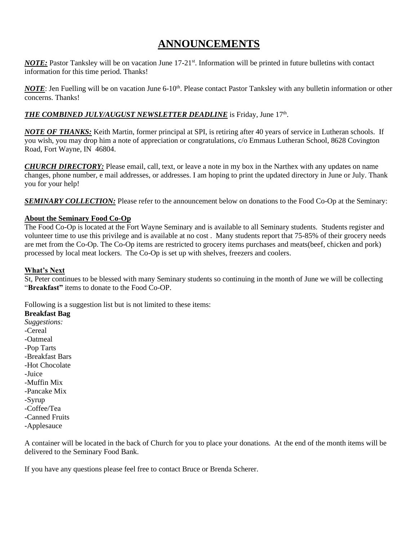# **ANNOUNCEMENTS**

*NOTE:* Pastor Tanksley will be on vacation June 17-21<sup>st</sup>. Information will be printed in future bulletins with contact information for this time period. Thanks!

*NOTE*: Jen Fuelling will be on vacation June 6-10<sup>th</sup>. Please contact Pastor Tanksley with any bulletin information or other concerns. Thanks!

### *THE COMBINED JULY/AUGUST NEWSLETTER DEADLINE* is Friday, June 17 th .

*NOTE OF THANKS:* Keith Martin, former principal at SPI, is retiring after 40 years of service in Lutheran schools. If you wish, you may drop him a note of appreciation or congratulations, c/o Emmaus Lutheran School, 8628 Covington Road, Fort Wayne, IN 46804.

*CHURCH DIRECTORY:* Please email, call, text, or leave a note in my box in the Narthex with any updates on name changes, phone number, e mail addresses, or addresses. I am hoping to print the updated directory in June or July. Thank you for your help!

*SEMINARY COLLECTION:* Please refer to the announcement below on donations to the Food Co-Op at the Seminary:

### **About the Seminary Food Co-Op**

The Food Co-Op is located at the Fort Wayne Seminary and is available to all Seminary students. Students register and volunteer time to use this privilege and is available at no cost . Many students report that 75-85% of their grocery needs are met from the Co-Op. The Co-Op items are restricted to grocery items purchases and meats(beef, chicken and pork) processed by local meat lockers. The Co-Op is set up with shelves, freezers and coolers.

### **What's Next**

St, Peter continues to be blessed with many Seminary students so continuing in the month of June we will be collecting "**Breakfast"** items to donate to the Food Co-OP.

Following is a suggestion list but is not limited to these items:

**Breakfast Bag** *Suggestions:* -Cereal -Oatmeal -Pop Tarts -Breakfast Bars -Hot Chocolate -Juice -Muffin Mix -Pancake Mix -Syrup -Coffee/Tea -Canned Fruits

-Applesauce

A container will be located in the back of Church for you to place your donations. At the end of the month items will be delivered to the Seminary Food Bank.

If you have any questions please feel free to contact Bruce or Brenda Scherer.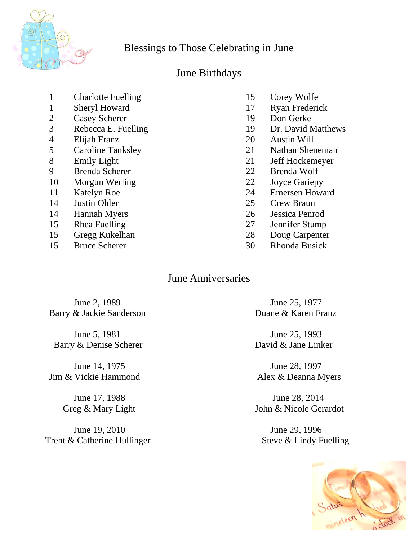

# Blessings to Those Celebrating in June

# June Birthdays

- 1 Charlotte Fuelling 15 Corey Wolfe
- 
- 2 Casey Scherer 19 Don Gerke
- 3 Rebecca E. Fuelling 19 Dr. David Matthews
- 
- 5 Caroline Tanksley 21 Nathan Sheneman
- 
- 9 Brenda Scherer 22 Brenda Wolf
- 10 Morgun Werling 22 Joyce Gariepy
- 
- 
- 
- 
- 15 Gregg Kukelhan 28 Doug Carpenter
- 
- 
- 1 Sheryl Howard 17 Ryan Frederick
	-
	-
- 4 Elijah Franz 20 Austin Will
	-
- 8 Emily Light 21 Jeff Hockemeyer
	-
	-
- 11 Katelyn Roe 24 Emersen Howard
- 14 Justin Ohler 25 Crew Braun
- 14 Hannah Myers 26 Jessica Penrod
- 15 Rhea Fuelling 27 Jennifer Stump
	-
- 15 Bruce Scherer 30 Rhonda Busick

# June Anniversaries

June 2, 1989 June 25, 1977 Barry & Jackie Sanderson Duane & Karen Franz

June 5, 1981 June 25, 1993 Barry & Denise Scherer David & Jane Linker

June 14, 1975 June 28, 1997 Jim & Vickie Hammond Alex & Deanna Myers

June 19, 2010 June 29, 1996 Trent & Catherine Hullinger Steve & Lindy Fuelling

 June 17, 1988 June 28, 2014 Greg & Mary Light John & Nicole Gerardot

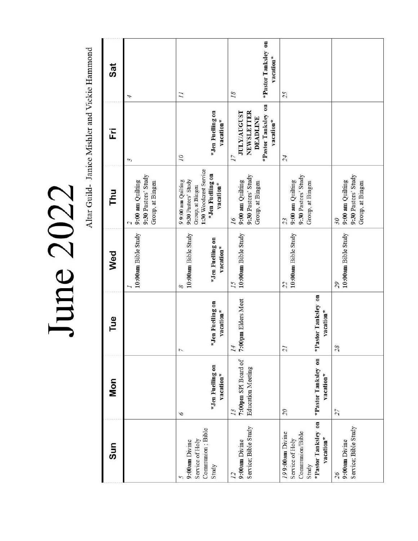# June 2022

Altar Guild- Janice Mishler and Vickie Hammond

|                                                                  | Mon | Tue                                             | Wed                                                       | <b>Thu</b>                                                                                                               | Ë<br>$\sim$                                                                                   | <b>Sat</b><br>4                        |
|------------------------------------------------------------------|-----|-------------------------------------------------|-----------------------------------------------------------|--------------------------------------------------------------------------------------------------------------------------|-----------------------------------------------------------------------------------------------|----------------------------------------|
|                                                                  |     |                                                 | 10:00am Bible Study                                       | 9:30 Pastors' Study<br>9:00 am Quilting<br>Group, at Bingen                                                              |                                                                                               |                                        |
| *Jen Fuelling on<br>vacation*<br>6                               |     | *Jen Fuelling on<br>vacation*<br>$\overline{ }$ | 10:00am Bible Study<br>*Jen Fuelling on<br>vacation*<br>8 | 1:30 Woodcrest Service<br>*Jen Fuelling on<br>9:30 Pastors' Study<br>9 9:00 am Quilting<br>vacation*<br>Group, at Bingen | *Jen Fuelling on<br>vacation*<br>10                                                           | $\overline{11}$                        |
| 7:00pm SPI Board of<br><b>Education Meeting</b><br>13            |     | 7:00pm Elders Meet<br>14                        | 10:00am Bible Study<br>15                                 | 9:30 Pastors' Study<br>9:00 am Quilting<br>Group, at Bingen<br>91                                                        | *Pastor Tanksley on<br>NEWSLETTER<br><b>JULY/AUGUST</b><br><b>DEADLINE</b><br>vacation*<br>17 | *Pastor Tanksley on<br>vacation*<br>18 |
| 21<br>*Pastor Tanksley on<br>vacation*<br>$\partial \mathcal{L}$ |     | *Pastor Tanksley on<br>vacation*                | 10:00am Bible Study<br>22                                 | 9:30 Pastors' Study<br>9:00 am Quilting<br>Group, at Bingen<br>23                                                        | 24                                                                                            | 25                                     |
| 28<br>27                                                         |     |                                                 | 10:00am Bible Study<br>55                                 | 9:30 Pastors' Study<br>9:00 am Quilting<br>Group, at Bingen<br>30                                                        |                                                                                               |                                        |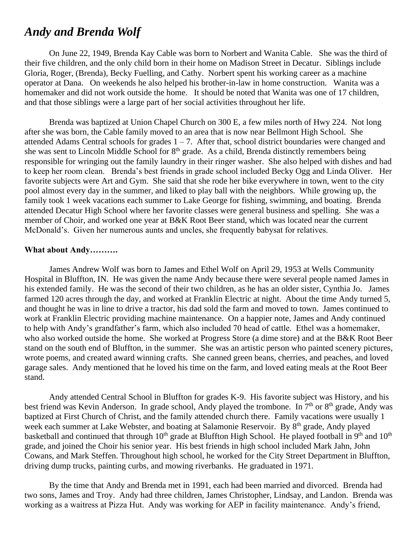# *Andy and Brenda Wolf*

On June 22, 1949, Brenda Kay Cable was born to Norbert and Wanita Cable. She was the third of their five children, and the only child born in their home on Madison Street in Decatur. Siblings include Gloria, Roger, (Brenda), Becky Fuelling, and Cathy. Norbert spent his working career as a machine operator at Dana. On weekends he also helped his brother-in-law in home construction. Wanita was a homemaker and did not work outside the home. It should be noted that Wanita was one of 17 children, and that those siblings were a large part of her social activities throughout her life.

Brenda was baptized at Union Chapel Church on 300 E, a few miles north of Hwy 224. Not long after she was born, the Cable family moved to an area that is now near Bellmont High School. She attended Adams Central schools for grades  $1 - 7$ . After that, school district boundaries were changed and she was sent to Lincoln Middle School for  $8<sup>th</sup>$  grade. As a child, Brenda distinctly remembers being responsible for wringing out the family laundry in their ringer washer. She also helped with dishes and had to keep her room clean. Brenda's best friends in grade school included Becky Ogg and Linda Oliver. Her favorite subjects were Art and Gym. She said that she rode her bike everywhere in town, went to the city pool almost every day in the summer, and liked to play ball with the neighbors. While growing up, the family took 1 week vacations each summer to Lake George for fishing, swimming, and boating. Brenda attended Decatur High School where her favorite classes were general business and spelling. She was a member of Choir, and worked one year at B&K Root Beer stand, which was located near the current McDonald's. Given her numerous aunts and uncles, she frequently babysat for relatives.

### **What about Andy……….**

James Andrew Wolf was born to James and Ethel Wolf on April 29, 1953 at Wells Community Hospital in Bluffton, IN. He was given the name Andy because there were several people named James in his extended family. He was the second of their two children, as he has an older sister, Cynthia Jo. James farmed 120 acres through the day, and worked at Franklin Electric at night. About the time Andy turned 5, and thought he was in line to drive a tractor, his dad sold the farm and moved to town. James continued to work at Franklin Electric providing machine maintenance. On a happier note, James and Andy continued to help with Andy's grandfather's farm, which also included 70 head of cattle. Ethel was a homemaker, who also worked outside the home. She worked at Progress Store (a dime store) and at the B&K Root Beer stand on the south end of Bluffton, in the summer. She was an artistic person who painted scenery pictures, wrote poems, and created award winning crafts. She canned green beans, cherries, and peaches, and loved garage sales. Andy mentioned that he loved his time on the farm, and loved eating meals at the Root Beer stand.

Andy attended Central School in Bluffton for grades K-9. His favorite subject was History, and his best friend was Kevin Anderson. In grade school, Andy played the trombone. In 7<sup>th</sup> or 8<sup>th</sup> grade, Andy was baptized at First Church of Christ, and the family attended church there. Family vacations were usually 1 week each summer at Lake Webster, and boating at Salamonie Reservoir. By 8<sup>th</sup> grade, Andy played basketball and continued that through 10<sup>th</sup> grade at Bluffton High School. He played football in 9<sup>th</sup> and 10<sup>th</sup> grade, and joined the Choir his senior year. His best friends in high school included Mark Jahn, John Cowans, and Mark Steffen. Throughout high school, he worked for the City Street Department in Bluffton, driving dump trucks, painting curbs, and mowing riverbanks. He graduated in 1971.

By the time that Andy and Brenda met in 1991, each had been married and divorced. Brenda had two sons, James and Troy. Andy had three children, James Christopher, Lindsay, and Landon. Brenda was working as a waitress at Pizza Hut. Andy was working for AEP in facility maintenance. Andy's friend,